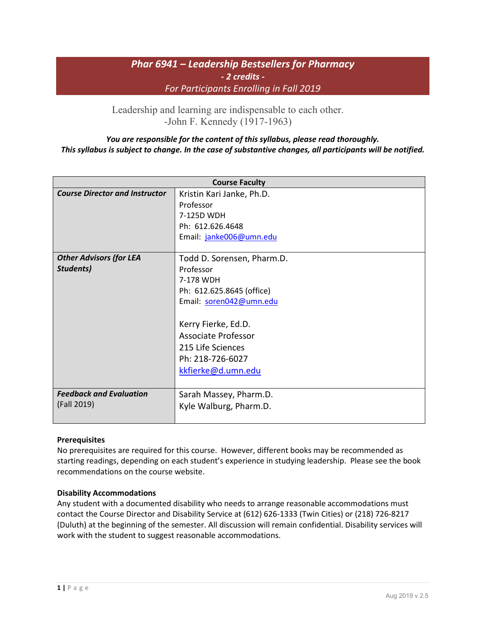# *Phar 6941 – Leadership Bestsellers for Pharmacy - 2 credits - For Participants Enrolling in Fall 2019*

[Leadership and learning are indispensable to each other.](http://www.quotationspage.com/quote/3225.html) -John F. Kennedy (1917-1963)

## *You are responsible for the content of this syllabus, please read thoroughly. This syllabus is subject to change. In the case of substantive changes, all participants will be notified.*

| <b>Course Faculty</b>                 |                            |  |
|---------------------------------------|----------------------------|--|
| <b>Course Director and Instructor</b> | Kristin Kari Janke, Ph.D.  |  |
|                                       | Professor                  |  |
|                                       | 7-125D WDH                 |  |
|                                       | Ph: 612.626.4648           |  |
|                                       | Email: janke006@umn.edu    |  |
|                                       |                            |  |
| <b>Other Advisors (for LEA</b>        | Todd D. Sorensen, Pharm.D. |  |
| Students)                             | Professor                  |  |
|                                       | 7-178 WDH                  |  |
|                                       | Ph: 612.625.8645 (office)  |  |
|                                       | Email: soren042@umn.edu    |  |
|                                       |                            |  |
|                                       | Kerry Fierke, Ed.D.        |  |
|                                       | <b>Associate Professor</b> |  |
|                                       | 215 Life Sciences          |  |
|                                       | Ph: 218-726-6027           |  |
|                                       | kkfierke@d.umn.edu         |  |
|                                       |                            |  |
| <b>Feedback and Evaluation</b>        | Sarah Massey, Pharm.D.     |  |
| (Fall 2019)                           | Kyle Walburg, Pharm.D.     |  |
|                                       |                            |  |

## **Prerequisites**

No prerequisites are required for this course. However, different books may be recommended as starting readings, depending on each student's experience in studying leadership. Please see the book recommendations on the course website.

## **Disability Accommodations**

Any student with a documented disability who needs to arrange reasonable accommodations must contact the Course Director and Disability Service at (612) 626-1333 (Twin Cities) or (218) 726-8217 (Duluth) at the beginning of the semester. All discussion will remain confidential. Disability services will work with the student to suggest reasonable accommodations.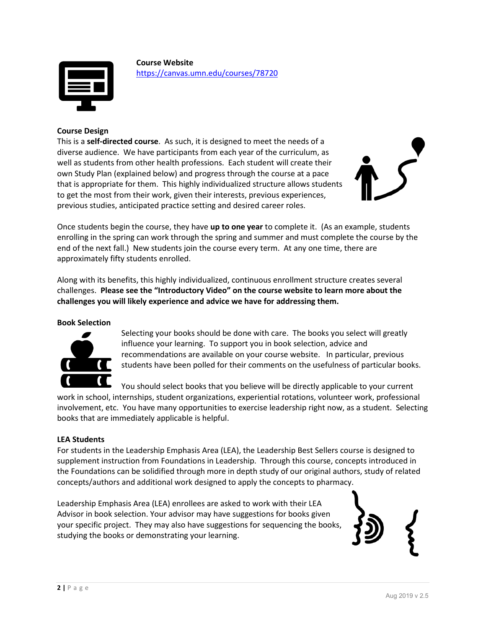

**Course Website** <https://canvas.umn.edu/courses/78720>

## **Course Design**

This is a **self-directed course**. As such, it is designed to meet the needs of a diverse audience. We have participants from each year of the curriculum, as well as students from other health professions. Each student will create their own Study Plan (explained below) and progress through the course at a pace that is appropriate for them. This highly individualized structure allows students to get the most from their work, given their interests, previous experiences, previous studies, anticipated practice setting and desired career roles.



Once students begin the course, they have **up to one year** to complete it. (As an example, students enrolling in the spring can work through the spring and summer and must complete the course by the end of the next fall.) New students join the course every term. At any one time, there are approximately fifty students enrolled.

Along with its benefits, this highly individualized, continuous enrollment structure creates several challenges. **Please see the "Introductory Video" on the course website to learn more about the challenges you will likely experience and advice we have for addressing them.**

### **Book Selection**



Selecting your books should be done with care. The books you select will greatly influence your learning. To support you in book selection, advice and recommendations are available on your course website. In particular, previous students have been polled for their comments on the usefulness of particular books.

You should select books that you believe will be directly applicable to your current work in school, internships, student organizations, experiential rotations, volunteer work, professional involvement, etc. You have many opportunities to exercise leadership right now, as a student. Selecting books that are immediately applicable is helpful.

### **LEA Students**

For students in the Leadership Emphasis Area (LEA), the Leadership Best Sellers course is designed to supplement instruction from Foundations in Leadership. Through this course, concepts introduced in the Foundations can be solidified through more in depth study of our original authors, study of related concepts/authors and additional work designed to apply the concepts to pharmacy.

Leadership Emphasis Area (LEA) enrollees are asked to work with their LEA Advisor in book selection. Your advisor may have suggestions for books given your specific project. They may also have suggestions for sequencing the books, studying the books or demonstrating your learning.

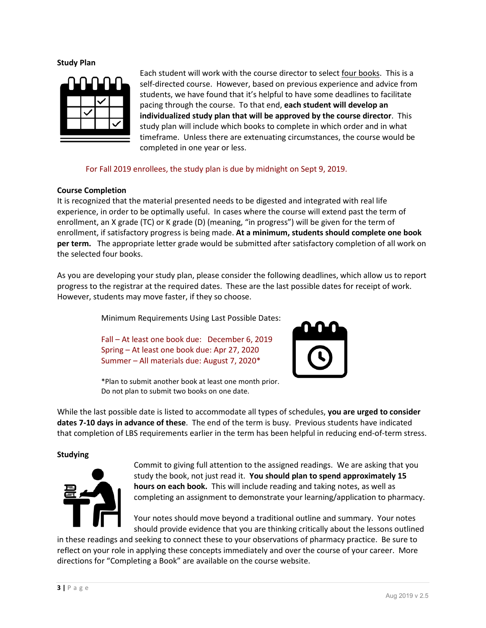**Study Plan**



Each student will work with the course director to select four books. This is a self-directed course. However, based on previous experience and advice from students, we have found that it's helpful to have some deadlines to facilitate pacing through the course. To that end, **each student will develop an individualized study plan that will be approved by the course director**. This study plan will include which books to complete in which order and in what timeframe. Unless there are extenuating circumstances, the course would be completed in one year or less.

For Fall 2019 enrollees, the study plan is due by midnight on Sept 9, 2019.

### **Course Completion**

It is recognized that the material presented needs to be digested and integrated with real life experience, in order to be optimally useful. In cases where the course will extend past the term of enrollment, an X grade (TC) or K grade (D) (meaning, "in progress") will be given for the term of enrollment, if satisfactory progress is being made. **At a minimum, students should complete one book per term.** The appropriate letter grade would be submitted after satisfactory completion of all work on the selected four books.

As you are developing your study plan, please consider the following deadlines, which allow us to report progress to the registrar at the required dates. These are the last possible dates for receipt of work. However, students may move faster, if they so choose.

Minimum Requirements Using Last Possible Dates:

Fall – At least one book due: December 6, 2019 Spring – At least one book due: Apr 27, 2020 Summer – All materials due: August 7, 2020\*



\*Plan to submit another book at least one month prior. Do not plan to submit two books on one date.

While the last possible date is listed to accommodate all types of schedules, **you are urged to consider dates 7-10 days in advance of these**. The end of the term is busy. Previous students have indicated that completion of LBS requirements earlier in the term has been helpful in reducing end-of-term stress.

### **Studying**



Commit to giving full attention to the assigned readings. We are asking that you study the book, not just read it. **You should plan to spend approximately 15 hours on each book.** This will include reading and taking notes, as well as completing an assignment to demonstrate your learning/application to pharmacy.

Your notes should move beyond a traditional outline and summary. Your notes should provide evidence that you are thinking critically about the lessons outlined

in these readings and seeking to connect these to your observations of pharmacy practice. Be sure to reflect on your role in applying these concepts immediately and over the course of your career. More directions for "Completing a Book" are available on the course website.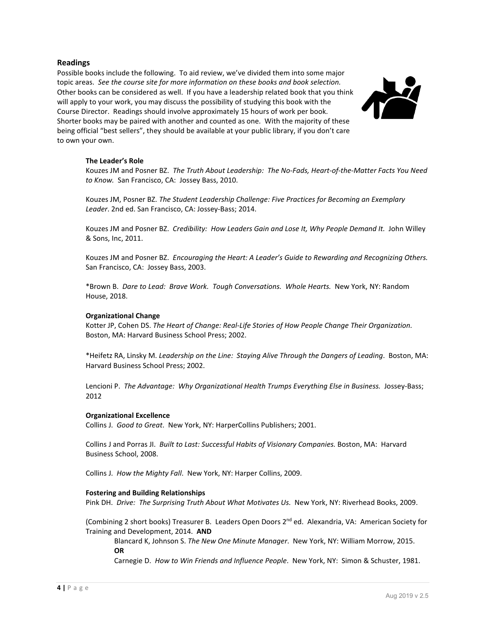### **Readings**

Possible books include the following. To aid review, we've divided them into some major topic areas. *See the course site for more information on these books and book selection.*  Other books can be considered as well. If you have a leadership related book that you think will apply to your work, you may discuss the possibility of studying this book with the Course Director. Readings should involve approximately 15 hours of work per book. Shorter books may be paired with another and counted as one. With the majority of these being official "best sellers", they should be available at your public library, if you don't care to own your own.



#### **The Leader's Role**

Kouzes JM and Posner BZ. *The Truth About Leadership: The No-Fads, Heart-of-the-Matter Facts You Need to Know.* San Francisco, CA: Jossey Bass, 2010.

Kouzes JM, Posner BZ. *The Student Leadership Challenge: Five Practices for Becoming an Exemplary Leader*. 2nd ed. San Francisco, CA: Jossey-Bass; 2014.

Kouzes JM and Posner BZ. *Credibility: How Leaders Gain and Lose It, Why People Demand It.* John Willey & Sons, Inc, 2011.

Kouzes JM and Posner BZ. *Encouraging the Heart: A Leader's Guide to Rewarding and Recognizing Others.* San Francisco, CA: Jossey Bass, 2003.

\*Brown B. *Dare to Lead: Brave Work. Tough Conversations. Whole Hearts.* New York, NY: Random House, 2018.

#### **Organizational Change**

Kotter JP, Cohen DS. *The Heart of Change: Real-Life Stories of How People Change Their Organization.* Boston, MA: Harvard Business School Press; 2002.

\*Heifetz RA, Linsky M. *Leadership on the Line: Staying Alive Through the Dangers of Leading*.Boston, MA: Harvard Business School Press; 2002.

Lencioni P. *The Advantage: Why Organizational Health Trumps Everything Else in Business.* Jossey-Bass; 2012

#### **Organizational Excellence**

Collins J. *Good to Great*. New York, NY: HarperCollins Publishers; 2001.

Collins J and Porras JI. *Built to Last: Successful Habits of Visionary Companies.* Boston, MA: Harvard Business School, 2008.

Collins J. *How the Mighty Fall*. New York, NY: Harper Collins, 2009.

#### **Fostering and Building Relationships**

Pink DH. *Drive: The Surprising Truth About What Motivates Us.* New York, NY: Riverhead Books, 2009.

(Combining 2 short books) Treasurer B. Leaders Open Doors  $2^{nd}$  ed. Alexandria, VA: American Society for Training and Development, 2014. **AND**

Blancard K, Johnson S. *The New One Minute Manager*. New York, NY: William Morrow, 2015. **OR**

Carnegie D. *How to Win Friends and Influence People*. New York, NY: Simon & Schuster, 1981.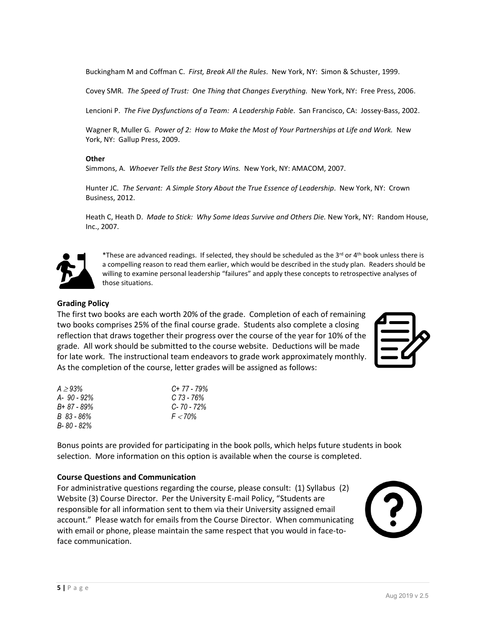Buckingham M and Coffman C. *First, Break All the Rules*. New York, NY: Simon & Schuster, 1999.

Covey SMR. *The Speed of Trust: One Thing that Changes Everything.* New York, NY: Free Press, 2006.

Lencioni P. *The Five Dysfunctions of a Team: A Leadership Fable*. San Francisco, CA: Jossey-Bass, 2002.

Wagner R, Muller G*. Power of 2: How to Make the Most of Your Partnerships at Life and Work.* New York, NY: Gallup Press, 2009.

### **Other**

Simmons, A. *Whoever Tells the Best Story Wins.* New York, NY: AMACOM, 2007.

Hunter JC. *The Servant: A Simple Story About the True Essence of Leadership*. New York, NY: Crown Business, 2012.

Heath C, Heath D. *Made to Stick: Why Some Ideas Survive and Others Die.* New York, NY: Random House, Inc., 2007.



\*These are advanced readings. If selected, they should be scheduled as the 3<sup>rd</sup> or 4<sup>th</sup> book unless there is a compelling reason to read them earlier, which would be described in the study plan. Readers should be willing to examine personal leadership "failures" and apply these concepts to retrospective analyses of those situations.

### **Grading Policy**

The first two books are each worth 20% of the grade. Completion of each of remaining two books comprises 25% of the final course grade. Students also complete a closing reflection that draws together their progress over the course of the year for 10% of the grade. All work should be submitted to the course website. Deductions will be made for late work. The instructional team endeavors to grade work approximately monthly. As the completion of the course, letter grades will be assigned as follows:



| $A > 9.3\%$    | $C+77-79%$     |
|----------------|----------------|
| $A - 90 - 92%$ | C 73 - 76%     |
| B+ 87 - 89%    | $C - 70 - 72%$ |
| B 83 - 86%     | $F < 70\%$     |
| B-80 - 82%     |                |

Bonus points are provided for participating in the book polls, which helps future students in book selection. More information on this option is available when the course is completed.

### **Course Questions and Communication**

For administrative questions regarding the course, please consult: (1) Syllabus (2) Website (3) Course Director. Per the University E-mail Policy, "Students are responsible for all information sent to them via their University assigned email account." Please watch for emails from the Course Director. When communicating with email or phone, please maintain the same respect that you would in face-toface communication.

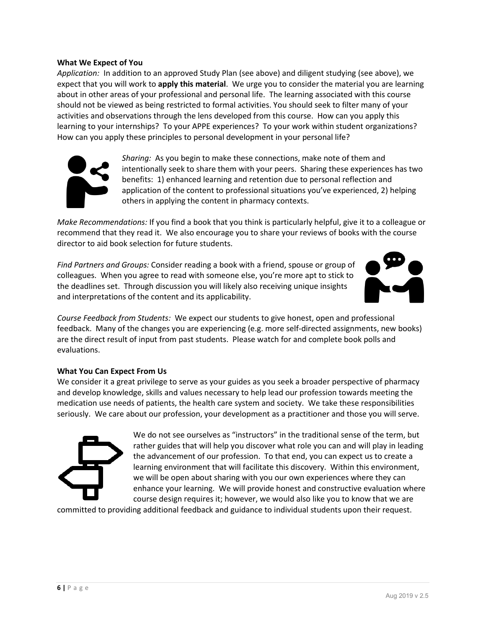### **What We Expect of You**

*Application:* In addition to an approved Study Plan (see above) and diligent studying (see above), we expect that you will work to **apply this material**. We urge you to consider the material you are learning about in other areas of your professional and personal life. The learning associated with this course should not be viewed as being restricted to formal activities. You should seek to filter many of your activities and observations through the lens developed from this course. How can you apply this learning to your internships? To your APPE experiences? To your work within student organizations? How can you apply these principles to personal development in your personal life?



*Sharing:* As you begin to make these connections, make note of them and intentionally seek to share them with your peers. Sharing these experiences has two benefits: 1) enhanced learning and retention due to personal reflection and application of the content to professional situations you've experienced, 2) helping others in applying the content in pharmacy contexts.

*Make Recommendations:* If you find a book that you think is particularly helpful, give it to a colleague or recommend that they read it. We also encourage you to share your reviews of books with the course director to aid book selection for future students.

*Find Partners and Groups:* Consider reading a book with a friend, spouse or group of colleagues. When you agree to read with someone else, you're more apt to stick to the deadlines set. Through discussion you will likely also receiving unique insights and interpretations of the content and its applicability.



*Course Feedback from Students:* We expect our students to give honest, open and professional feedback. Many of the changes you are experiencing (e.g. more self-directed assignments, new books) are the direct result of input from past students. Please watch for and complete book polls and evaluations.

### **What You Can Expect From Us**

We consider it a great privilege to serve as your guides as you seek a broader perspective of pharmacy and develop knowledge, skills and values necessary to help lead our profession towards meeting the medication use needs of patients, the health care system and society. We take these responsibilities seriously. We care about our profession, your development as a practitioner and those you will serve.



We do not see ourselves as "instructors" in the traditional sense of the term, but rather guides that will help you discover what role you can and will play in leading the advancement of our profession. To that end, you can expect us to create a learning environment that will facilitate this discovery. Within this environment, we will be open about sharing with you our own experiences where they can enhance your learning. We will provide honest and constructive evaluation where course design requires it; however, we would also like you to know that we are

committed to providing additional feedback and guidance to individual students upon their request.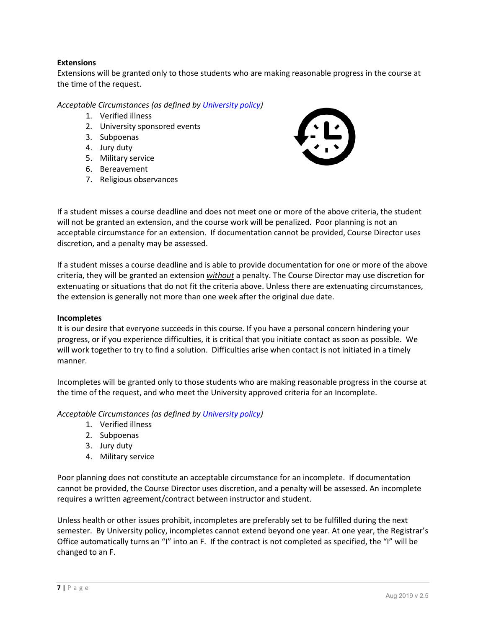## **Extensions**

Extensions will be granted only to those students who are making reasonable progress in the course at the time of the request.

*Acceptable Circumstances (as defined by [University policy\)](http://www.policy.umn.edu/Policies/Education/Education/MAKEUPWORK.html)*

- 1. Verified illness
- 2. University sponsored events
- 3. Subpoenas
- 4. Jury duty
- 5. Military service
- 6. Bereavement
- 7. Religious observances



If a student misses a course deadline and does not meet one or more of the above criteria, the student will not be granted an extension, and the course work will be penalized. Poor planning is not an acceptable circumstance for an extension. If documentation cannot be provided, Course Director uses discretion, and a penalty may be assessed.

If a student misses a course deadline and is able to provide documentation for one or more of the above criteria, they will be granted an extension *without* a penalty. The Course Director may use discretion for extenuating or situations that do not fit the criteria above. Unless there are extenuating circumstances, the extension is generally not more than one week after the original due date.

### **Incompletes**

It is our desire that everyone succeeds in this course. If you have a personal concern hindering your progress, or if you experience difficulties, it is critical that you initiate contact as soon as possible. We will work together to try to find a solution. Difficulties arise when contact is not initiated in a timely manner.

Incompletes will be granted only to those students who are making reasonable progress in the course at the time of the request, and who meet the University approved criteria for an Incomplete.

*Acceptable Circumstances (as defined by [University policy\)](http://www.policy.umn.edu/Policies/Education/Education/MAKEUPWORK.html)*

- 1. Verified illness
- 2. Subpoenas
- 3. Jury duty
- 4. Military service

Poor planning does not constitute an acceptable circumstance for an incomplete. If documentation cannot be provided, the Course Director uses discretion, and a penalty will be assessed. An incomplete requires a written agreement/contract between instructor and student.

Unless health or other issues prohibit, incompletes are preferably set to be fulfilled during the next semester. By University policy, incompletes cannot extend beyond one year. At one year, the Registrar's Office automatically turns an "I" into an F. If the contract is not completed as specified, the "I" will be changed to an F.